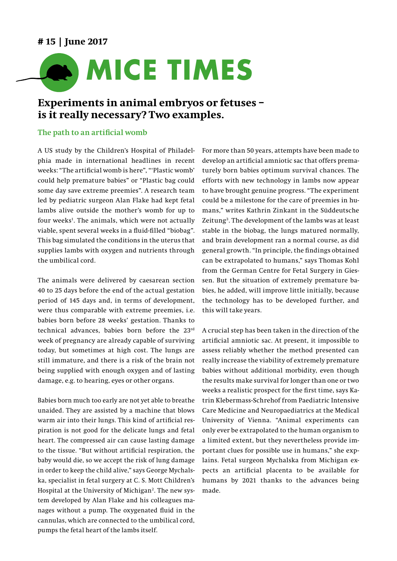## **# 15 | June 2017**



# **Experiments in animal embryos or fetuses – is it really necessary? Two examples.**

### **The path to an artificial womb**

A US study by the Children's Hospital of Philadelphia made in international headlines in recent weeks: "The artificial womb is here", "'Plastic womb' could help premature babies" or "Plastic bag could some day save extreme preemies". A research team led by pediatric surgeon Alan Flake had kept fetal lambs alive outside the mother's womb for up to four weeks<sup>1</sup>. The animals, which were not actually viable, spent several weeks in a fluid-filled "biobag". This bag simulated the conditions in the uterus that supplies lambs with oxygen and nutrients through the umbilical cord.

The animals were delivered by caesarean section 40 to 25 days before the end of the actual gestation period of 145 days and, in terms of development, were thus comparable with extreme preemies, i.e. babies born before 28 weeks' gestation. Thanks to technical advances, babies born before the 23rd week of pregnancy are already capable of surviving today, but sometimes at high cost. The lungs are still immature, and there is a risk of the brain not being supplied with enough oxygen and of lasting damage, e.g. to hearing, eyes or other organs.

Babies born much too early are not yet able to breathe unaided. They are assisted by a machine that blows warm air into their lungs. This kind of artificial respiration is not good for the delicate lungs and fetal heart. The compressed air can cause lasting damage to the tissue. "But without artificial respiration, the baby would die, so we accept the risk of lung damage in order to keep the child alive," says George Mychalska, specialist in fetal surgery at C. S. Mott Children's Hospital at the University of Michigan<sup>2</sup>. The new system developed by Alan Flake and his colleagues manages without a pump. The oxygenated fluid in the cannulas, which are connected to the umbilical cord, pumps the fetal heart of the lambs itself.

For more than 50 years, attempts have been made to develop an artificial amniotic sac that offers prematurely born babies optimum survival chances. The efforts with new technology in lambs now appear to have brought genuine progress. "The experiment could be a milestone for the care of preemies in humans," writes Kathrin Zinkant in the Süddeutsche Zeitung3 . The development of the lambs was at least stable in the biobag, the lungs matured normally, and brain development ran a normal course, as did general growth. "In principle, the findings obtained can be extrapolated to humans," says Thomas Kohl from the German Centre for Fetal Surgery in Giessen. But the situation of extremely premature babies, he added, will improve little initially, because the technology has to be developed further, and this will take years.

A crucial step has been taken in the direction of the artificial amniotic sac. At present, it impossible to assess reliably whether the method presented can really increase the viability of extremely premature babies without additional morbidity, even though the results make survival for longer than one or two weeks a realistic prospect for the first time, says Katrin Klebermass-Schrehof from Paediatric Intensive Care Medicine and Neuropaediatrics at the Medical University of Vienna. "Animal experiments can only ever be extrapolated to the human organism to a limited extent, but they nevertheless provide important clues for possible use in humans," she explains. Fetal surgeon Mychalska from Michigan expects an artificial placenta to be available for humans by 2021 thanks to the advances being made.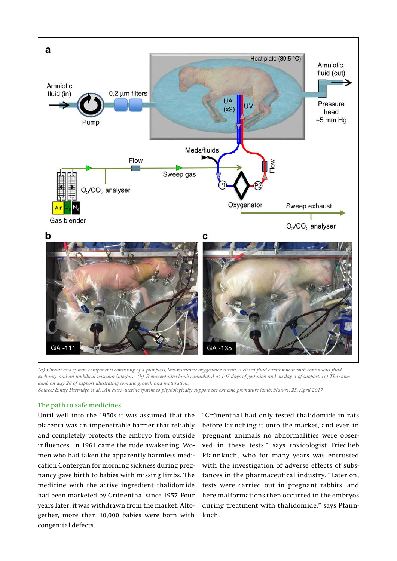

*(a) Circuit and system components consisting of a pumpless, low-resistance oxygenator circuit, a closed fluid environment with continuous fluid exchange and an umbilical vascular interface. (b) Representative lamb cannulated at 107 days of gestation and on day 4 of support. (c) The same lamb on day 28 of support illustrating somatic growth and maturation.*

*Source: Emily Partridge et al., An extra-uterine system to physiologically support the extreme premature lamb; Nature, 25. April 2017*

#### **The path to safe medicines**

Until well into the 1950s it was assumed that the placenta was an impenetrable barrier that reliably and completely protects the embryo from outside influences. In 1961 came the rude awakening. Women who had taken the apparently harmless medication Contergan for morning sickness during pregnancy gave birth to babies with missing limbs. The medicine with the active ingredient thalidomide had been marketed by Grünenthal since 1957. Four years later, it was withdrawn from the market. Altogether, more than 10,000 babies were born with congenital defects.

"Grünenthal had only tested thalidomide in rats before launching it onto the market, and even in pregnant animals no abnormalities were observed in these tests," says toxicologist Friedlieb Pfannkuch, who for many years was entrusted with the investigation of adverse effects of substances in the pharmaceutical industry. "Later on, tests were carried out in pregnant rabbits, and here malformations then occurred in the embryos during treatment with thalidomide," says Pfannkuch.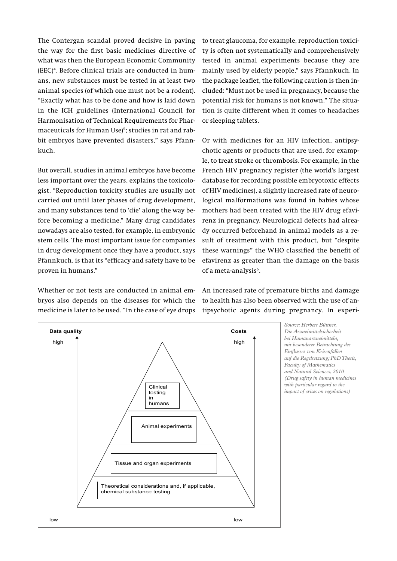The Contergan scandal proved decisive in paving the way for the first basic medicines directive of what was then the European Economic Community (EEC)<sup>4</sup>. Before clinical trials are conducted in humans, new substances must be tested in at least two animal species (of which one must not be a rodent). "Exactly what has to be done and how is laid down in the ICH guidelines (International Council for Harmonisation of Technical Requirements for Pharmaceuticals for Human Use)<sup>5</sup>; studies in rat and rabbit embryos have prevented disasters," says Pfannkuch.

But overall, studies in animal embryos have become less important over the years, explains the toxicologist. "Reproduction toxicity studies are usually not carried out until later phases of drug development, and many substances tend to 'die' along the way before becoming a medicine." Many drug candidates nowadays are also tested, for example, in embryonic stem cells. The most important issue for companies in drug development once they have a product, says Pfannkuch, is that its "efficacy and safety have to be proven in humans."

Whether or not tests are conducted in animal em- An increas**e** bryos also depends on the diseases for which the medicine is later to be used. "In the case of eye drops not tests are coi

to treat glaucoma, for example, reproduction toxicity is often not systematically and comprehensively tested in animal experiments because they are mainly used by elderly people," says Pfannkuch. In the package leaflet, the following caution is then included: "Must not be used in pregnancy, because the potential risk for humans is not known." The situation is quite different when it comes to headaches or sleeping tablets.

Or with medicines for an HIV infection, antipsychotic agents or products that are used, for example, to treat stroke or thrombosis. For example, in the French HIV pregnancy register (the world's largest database for recording possible embryotoxic effects of HIV medicines), a slightly increased rate of neurological malformations was found in babies whose mothers had been treated with the HIV drug efavirenz in pregnancy. Neurological defects had already occurred beforehand in animal models as a result of treatment with this product, but "despite these warnings" the WHO classified the benefit of efavirenz as greater than the damage on the basis of a meta-analysis<sup>6</sup>.

An increased rate of premature births and damage to health has also been observed with the use of antipsychotic agents during pregnancy. In experi-



*Source: Herbert Büttner, Die Arzneimittelsicherheit bei Humanarzneimitteln, mit besonderer Betrachtung des Einflusses von Krisenfällen auf die Regelsetzung; PhD Thesis, Faculty of Mathematics and Natural Sciences, 2010 (Drug safety in human medicines with particular regard to the impact of crises on regulations)*